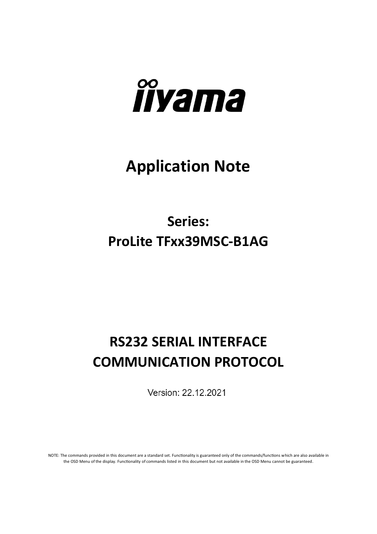

# **Application Note**

## **Series: ProLite TFxx39MSC-B1AG**

## **RS232 SERIAL INTERFACE COMMUNICATION PROTOCOL**

Version: 22.12.2021

NOTE: The commands provided in this document are a standard set. Functionality is guaranteed only of the commands/functions which are also available in the OSD Menu of the display. Functionality of commands listed in this document but not available in the OSD Menu cannot be guaranteed.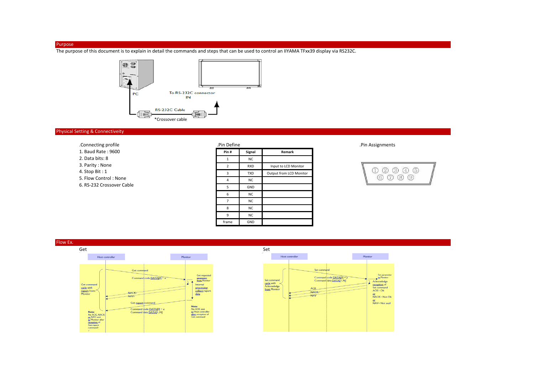#### Purpose

The purpose of this document is to explain in detail the commands and steps that can be used to control an IIYAMA TFxx39 display via RS232C.



#### Physical Setting & Connectiveity

| .Connecting profile       | .Pin Define             |            |                         |
|---------------------------|-------------------------|------------|-------------------------|
| 1. Baud Rate: 9600        | Pin#                    | Signal     | Remark                  |
| 2. Data bits: 8           | 1                       | <b>NC</b>  |                         |
| 3. Parity: None           | $\overline{\mathbf{z}}$ | <b>RXD</b> | Input to LCD Monitor    |
| 4. Stop Bit: $1$          | 3                       | <b>TXD</b> | Output from LCD Monitor |
| 5. Flow Control: None     | $\overline{4}$          | <b>NC</b>  |                         |
| 6. RS-232 Crossover Cable | 5                       | GND        |                         |
|                           | 6                       | <b>NC</b>  |                         |
|                           |                         | <b>NC</b>  |                         |
|                           | 8                       | <b>NC</b>  |                         |

9 NC frame GND

#### .Pin Assignments





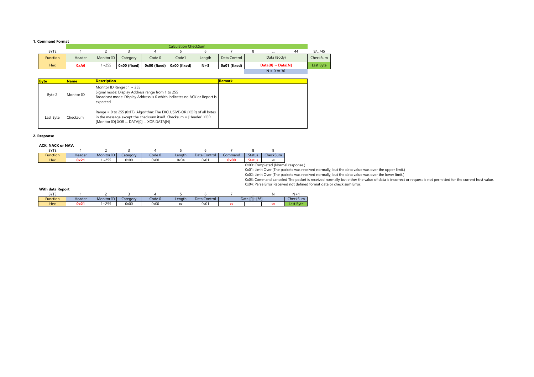#### **1. Command Format**

|                 |        |            |              |              | <b>Calculation CheckSum</b> |        |              |                          |    |           |
|-----------------|--------|------------|--------------|--------------|-----------------------------|--------|--------------|--------------------------|----|-----------|
| <b>BYTE</b>     |        |            |              |              |                             |        |              | $\cdots$                 | 44 | $9/$ /45  |
| <b>Function</b> | Header | Monitor ID | Category     | Code 0       | Code1                       | Lenath | Data Control | Data (Body)              |    | CheckSum  |
| <b>Hex</b>      | 0xA6   | $\sim$ 255 | 0x00 (fixed) | 0x00 (fixed) | Ox00 (fixed)                | $N+3$  | 0x01 (fixed) | $Data[0] ~ \sim Data[N]$ |    | Last Byte |

 $N = 0$  to 36.

| <b>Byte</b> | <b>Name</b> | <b>Description</b>                                                                                                                                                                      | <b>Remark</b> |
|-------------|-------------|-----------------------------------------------------------------------------------------------------------------------------------------------------------------------------------------|---------------|
| Byte 2      | Monitor ID  | Monitor ID Range: $1 \sim 255$<br>Signal mode: Display Address range from 1 to 255<br>Broadcast mode: Display Address is 0 which indicates no ACK or Report is<br>expected.             |               |
| Last Byte   | Checksum    | Range = 0 to 255 (0xFF). Algorithm: The EXCLUSIVE-OR (XOR) of all bytes<br>in the message except the checksum itself. Checksum = [Header] XOR<br>[Monitor ID] XOR  DATA[0]  XOR DATA[N] |               |

#### **2. Response**

#### **ACK, NACK or NAV.**

| <b>BYTE</b>     |        |            |          |        |        |              |         |               |                             |
|-----------------|--------|------------|----------|--------|--------|--------------|---------|---------------|-----------------------------|
| <b>Function</b> | Header | Monitor ID | Category | Code 0 | Lenath | Data Control | Command | <b>Status</b> | CheckSum                    |
| <b>Hex</b>      | 0x21   | $1 - 255$  | 0x00     | 0x00   | 0x04   | 0x01         | 0x00    | <b>Status</b> | XX                          |
|                 |        |            |          |        |        |              |         |               | 0x00: Completed (Normal r   |
|                 |        |            |          |        |        |              |         |               | 0x01: Limit Over (The packe |

0x00: Completed (Normal response.)<br>0x01: Limit Over (The packets was received normally, but the data value was over the upper limit.)<br>0x02: Limit Over (The packets was received normally, but the data value was over the low 0x04: Parse Error Received not defined format data or check sum Error.

#### **With data Report**

| <b>BYTE</b> |        |                      |          |        |                                       |              |        | $\cdots$         | NI.       |
|-------------|--------|----------------------|----------|--------|---------------------------------------|--------------|--------|------------------|-----------|
| Function    | Header | $\sim$<br>Monitor ID | Lategory | Code 0 | Lenath                                | Data Control |        | [0]~[36]<br>Data | CheckSum  |
| <b>Hex</b>  | 0x21   | 255<br>בל∠∽י         | 0x00     | 0x00   | $\overline{\phantom{a}}$<br>$\Lambda$ | 0x0          | $\sim$ | $\cdots$         | Last Bvte |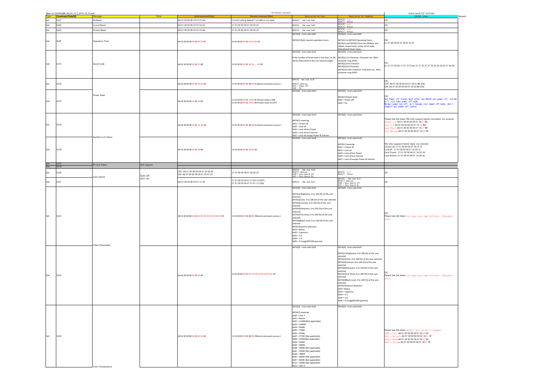|             | Base on DSXX9QBK_RS232_v3.2_2019_10_31.pdf |                       |                       |                                                                 | TPV RS232C command                                                                                |                                                                                                                                                                                                                                                                                                                                                                                                                                                                                                                  |                                                                                                                                                                                                                                                                                                                                                                                                                                                                                                                   | check result (32" v0.02.02)                                                                                                                                                                                                                                       |
|-------------|--------------------------------------------|-----------------------|-----------------------|-----------------------------------------------------------------|---------------------------------------------------------------------------------------------------|------------------------------------------------------------------------------------------------------------------------------------------------------------------------------------------------------------------------------------------------------------------------------------------------------------------------------------------------------------------------------------------------------------------------------------------------------------------------------------------------------------------|-------------------------------------------------------------------------------------------------------------------------------------------------------------------------------------------------------------------------------------------------------------------------------------------------------------------------------------------------------------------------------------------------------------------------------------------------------------------------------------------------------------------|-------------------------------------------------------------------------------------------------------------------------------------------------------------------------------------------------------------------------------------------------------------------|
| <b>Type</b> | <b>Command Data[0]</b>                     |                       |                       |                                                                 |                                                                                                   | Description for Send                                                                                                                                                                                                                                                                                                                                                                                                                                                                                             |                                                                                                                                                                                                                                                                                                                                                                                                                                                                                                                   |                                                                                                                                                                                                                                                                   |
| Set         | 0x01                                       | All Reset             |                       | A6 01 00 00 00 03 01 01 A4                                      | Control seting default t to LAN so no reply                                                       | DATA[0]: Ond code 0x01                                                                                                                                                                                                                                                                                                                                                                                                                                                                                           | $DATA[0]: 0x00$<br>DATA[1]: Status                                                                                                                                                                                                                                                                                                                                                                                                                                                                                | OK                                                                                                                                                                                                                                                                |
| Set         | 0x02                                       | Sound Reset           |                       | A6 01 00 00 00 03 01 02 A7                                      | 21 01 00 00 04 01 00 00 25                                                                        | DATA[0]: Cmd code 0x02                                                                                                                                                                                                                                                                                                                                                                                                                                                                                           | $DATA[0]: 0x00$<br>DATA[1]: Status                                                                                                                                                                                                                                                                                                                                                                                                                                                                                | OK                                                                                                                                                                                                                                                                |
| Set         | 0x03                                       | Picture Reset         |                       | A6 01 00 00 00 03 01 03 A6                                      | 21 01 00 00 04 01 00 00 25                                                                        | DATA[0]: Cmd code 0x03                                                                                                                                                                                                                                                                                                                                                                                                                                                                                           | DATA[O]: 0x00<br>DATA[1]: Status                                                                                                                                                                                                                                                                                                                                                                                                                                                                                  | OK                                                                                                                                                                                                                                                                |
|             |                                            |                       |                       |                                                                 |                                                                                                   | DATA[0]: Cmd code 0x0F                                                                                                                                                                                                                                                                                                                                                                                                                                                                                           | DATA[0]: Cmd code 0x0F                                                                                                                                                                                                                                                                                                                                                                                                                                                                                            |                                                                                                                                                                                                                                                                   |
| Get         | 0x0F                                       | <b>Operation Time</b> |                       | 46 01 00 00 00 04 01 OF 02 AF                                   | 21 01 00 00 05 01 OF XX XX XX                                                                     | DATA[1]:0x02, reprent operation hours                                                                                                                                                                                                                                                                                                                                                                                                                                                                            | DATA[1] to DATA[2] Operating Hours.<br>DATA[1] and DATA[2] form the MSByte and<br>LSByte, respectively, of the 16-bit-wide<br>Operational Hours value.                                                                                                                                                                                                                                                                                                                                                            | OK:<br>21 01 00 00 05 01 0f 00 1e 35                                                                                                                                                                                                                              |
| Get         | 0x15                                       | Serial Code           |                       | 46 01 00 00 00 <mark>03 01 15</mark> B0                         | 21 01 00 00 16 01 XX XX  XX XX                                                                    | DATA[0]: Cmd code 0x15<br>If the number of serial code is less than 14, PD DATA[1]:1st Character Character acc. ASCII<br>will be filled 0x20 to the rest returned digits.                                                                                                                                                                                                                                                                                                                                        | DATA[0]: Cmd code 0x15<br>character map (HEX)<br>DATA[2]:2nd Character<br>DATA[3]:3rd Character<br>DATA[14]:14th Character Character acc. ASCII<br>character map (HEX)                                                                                                                                                                                                                                                                                                                                            | OK;<br> ex: 21 01 00 00 11 01 15 53 4e 31 31 35 37 37 30 30 30 30 31 0a 06                                                                                                                                                                                        |
| Set         | 0x18                                       |                       |                       | 46 01 00 00 00 <mark>04 01 18 XX</mark> XX                      | 21 01 00 00 04 01 00 00 25 (Send command success)                                                 | DATA[0]: Cmd code 0x18<br>DATA[1] meaning:<br>OxO1 = Power Off<br>OxO2 = On                                                                                                                                                                                                                                                                                                                                                                                                                                      |                                                                                                                                                                                                                                                                                                                                                                                                                                                                                                                   | OFF: A6 01 00 00 00 04 01 18 01 BB (OK)<br>ON: A6 01 00 00 00 04 01 18 02 B8 (OK)                                                                                                                                                                                 |
| Get         | 0x19                                       | Oower State           |                       | A6 01 00 00 00 03 01 19 BC                                      | 21 01 00 00 04 01 19 02 3E (Power state is ON)<br>21 01 00 00 04 01 19 01 3D (Power state os OFF) | DATA[0]: Cmd code 0x19                                                                                                                                                                                                                                                                                                                                                                                                                                                                                           | DATA[0]: Cmd code 0x19<br>DATA[1]:Power State<br>$0x01 = Power$ Off<br>$0x02 = 0n$                                                                                                                                                                                                                                                                                                                                                                                                                                | OK:<br>Get Power off states must after use RS232 set power off, system<br>will into fake power off mode.<br>Normal power key off, will become real power off mode, don't<br>- -44 -tates.<br>upport get power off states.                                         |
| Set         | 0x1A                                       |                       |                       | 46 01 00 00 00 <mark>04 01 1A XX</mark> XX                      | 21 01 00 00 04 01 00 00 25 (Send command success)                                                 | DATA[0]: Cmd code 0x1A<br>DATA[1] meaning:<br>$0x01 =$ Unlock all<br>$0x02 =$ Lock all<br>0x03 = Lock all but Power<br>0x04 = Lock all but Volume<br>0x07 = Lock all except Power & Volume                                                                                                                                                                                                                                                                                                                       | DATA[0]: Cmd code 0x1A                                                                                                                                                                                                                                                                                                                                                                                                                                                                                            | Please See QA sheet, We only support below command. (no volume)<br>h lock al l: A6 01 00 00 00 04 01 1A 01 B9<br>ock all: A6 01 00 00 00 04 01 1A 02 BA<br>Lock Power: A6 01 00 00 00 04 01 1A 03 BB<br>Lock Button: A6 01 00 00 00 04 01 1A 04 BC                |
| Get         | 0x1B                                       | CeyPad Lock Status    |                       | 46 01 00 00 00 <mark>03</mark> 01 1B BE                         | 21 01 00 00 04 01 1B XX XX                                                                        | DATA[0]: Cmd code 0x1B                                                                                                                                                                                                                                                                                                                                                                                                                                                                                           | DATA[0]: Cmd code 0x1B<br>DATA[1] meaning:<br>$0x01 =$ Unlock all<br>$0x02 =$ Lock all<br>OxO3 = Lock all but Power<br>0x04 = Lock all but Volume<br>0x07 = Lock all except Power & Volume                                                                                                                                                                                                                                                                                                                        | We only suppport below reply. (no volume)<br>Unlock all: 21 01 00 00 04 01 1b 01 3f<br>Lock all: 21 01 00 00 04 01 1b 02 3c<br>Lock Power: 21 01 00 00 04 01 1b 03 3d<br>Lock Button: 21 01 00 00 04 01 1b 04 3a                                                  |
| Set<br>Get  | 0x1C<br>0x1D                               | <b>IR Lock Status</b> | Not support           |                                                                 |                                                                                                   |                                                                                                                                                                                                                                                                                                                                                                                                                                                                                                                  |                                                                                                                                                                                                                                                                                                                                                                                                                                                                                                                   |                                                                                                                                                                                                                                                                   |
|             |                                            |                       |                       | OFF: A6 01 00 00 00 04 01 30 00 92                              |                                                                                                   |                                                                                                                                                                                                                                                                                                                                                                                                                                                                                                                  |                                                                                                                                                                                                                                                                                                                                                                                                                                                                                                                   |                                                                                                                                                                                                                                                                   |
| Set         | 0x30                                       | Auto Search           | 0x00: Off<br>0x01: On | ON: A6 01 00 00 00 04 01 30 01 93                               | 21 01 00 00 04 01 00 00 25                                                                        | DATA[0]: Cmd code 0x30<br>DATA[1] meaning:<br>0x00 = Auto Search Off<br>0x01 = Auto Search On                                                                                                                                                                                                                                                                                                                                                                                                                    | DATA[0]: 0x00<br>DATA[1]: Status                                                                                                                                                                                                                                                                                                                                                                                                                                                                                  | OK                                                                                                                                                                                                                                                                |
| Get         | 0x31                                       |                       |                       | 46 01 00 00 00 03 01 31 94                                      | 21 01 00 00 04 01 31 00 14 (OFF)<br>21 01 00 00 04 01 31 01 15 (ON)                               | $\texttt{DATA}[0]:$ Ond code $0x31$                                                                                                                                                                                                                                                                                                                                                                                                                                                                              | DATA[0]: Cmd code 0x31<br>DATA[1] meaning:<br>0x00 = Auto Search 0ff<br>$0x01 = Auto Search On$                                                                                                                                                                                                                                                                                                                                                                                                                   | OK                                                                                                                                                                                                                                                                |
| Set         | 0x32                                       |                       |                       | 46 01 00 00 00 <mark>0A 01 32 XX XX XX XX XX XX XX XX</mark> XX | 21 01 00 00 04 01 00 00 25(Send command success)                                                  | DATA[0]: Cmd code 0x32<br>DATA[1]:Brightness, 0 to 100 (%) of the user<br>selected<br>DATA[2]Color, 0 to 100 (%) of the user selected<br>DATA[3]Contrast, 0 to 100 (%) of the user<br>selected<br>DATA[4]Sharpness, 0 to 100 (%) of the user<br>selected<br>DATA[5]Tint (Hue), 0 to 100 (%) of the user<br>selected<br>DATA[6]Black Level, 0 to 100 (%) of the user<br>selected<br>DATA[7]Gamma Selection:<br>OxO1= Native.<br>$0x02 = S$ gamma,<br>$0x03 = 2.2,$<br>$0x04 = 2.4$<br>0x05 = D-image(DICOM gamma) | DATA[0]: Cmd code 0x32                                                                                                                                                                                                                                                                                                                                                                                                                                                                                            | Please See QA sheet, the range have some different. (Sharpness<br>$-63)$                                                                                                                                                                                          |
| Get         | 0x33                                       | Video Parameters      |                       | A6 01 00 00 00 03 01 33 96                                      | 21 01 00 00 <mark>0A</mark> 01 33 XX XX XX XX XX XX XX XX XX                                      | DATA[0]: Cmd code 0x33                                                                                                                                                                                                                                                                                                                                                                                                                                                                                           | DATA[0]: Cmd code 0x33<br>DATA[1]:Brightness, 0 to 100 (%) of the user<br>selected<br>DATA[2]Color, 0 to 100 (%) of the user selected<br>DATA[3]Contrast, 0 to 100 (%) of the user<br>selected<br>DATA[4]Sharpness, 0 to 100 (%) of the user<br>selected<br>DATA[5]Tint (Hue), 0 to 100 (%) of the user<br>selected<br>DATA[6]Black Level, 0 to 100 (%) of the user<br>selected<br>DATA[7]Gamma Selection:<br>OxO1= Native,<br>$0x02 = S$ gamma,<br>$0x03 = 2.2,$<br>$0x04 = 2.4,$<br>0x05 = D-image(DICOM gamma) | Please See QA sheet, the range have some different. (Sharpness<br>$-631$                                                                                                                                                                                          |
| Set         | 0x34                                       | Color Temperature     |                       | A6 01 00 00 00 04 01 34 XX XX                                   | 21 01 00 00 04 01 00 00 25(Send command success)                                                  | DATA[0]: Cmd code 0x34<br>DATA[1] meaning:<br>$0x00 = User 1$<br>$0x01 =$ Native<br>$0x02 = 11000K(Not applicable)$<br>$0x03 = 10000K$<br>$0x04 = 9300K$<br>$0x05 = 7500K$<br>$0x06 = 6500K$<br>0x07 = 5770K (Not applicable)<br>0x08 = 5500K(Not applicable)<br>$0x09 = 5000K$<br>$0x0A = 4000K$<br>0x0B = 3400K (Not applicable)<br>0x0C = 3350K (Not applicable)<br>$0x0D = 3000K$<br>0x0E = 2800K (Not applicable)<br>0x0F = 2600K (Not applicable)<br>0x10 = 1850K (Not applicable)<br>$0x12 = User 2$      | DATA[0]: Cmd code 0x34                                                                                                                                                                                                                                                                                                                                                                                                                                                                                            | Please See QA sheet, DATA[1] description is changed.<br>$0x00 = \text{Cool}$ : A6 01 00 00 00 04 01 34 00 96<br>$0x01 =$ Netural: A6 01 00 00 00 04 01 34 01 97<br>$x02 = Wa$ rm: A6 01 00 00 00 04 01 34 02 94<br>$0x03 =$ Custom: A6 01 00 00 00 04 01 34 03 95 |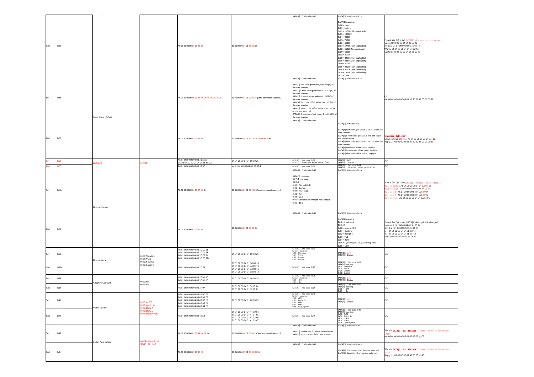|     |      |                    |                                             |                                                                                                                                                                   |                                                                                                                      | DATA[0]: Cmd code 0x35                                                                                                                                                                                                                                                                                                                                                                                                                                           | DATA[0]: Cmd code 0x35                                                                                                                                                                                                                                                                                                                                                                                                                                                          |                                                                                                                                                                                                                                                                                                                   |
|-----|------|--------------------|---------------------------------------------|-------------------------------------------------------------------------------------------------------------------------------------------------------------------|----------------------------------------------------------------------------------------------------------------------|------------------------------------------------------------------------------------------------------------------------------------------------------------------------------------------------------------------------------------------------------------------------------------------------------------------------------------------------------------------------------------------------------------------------------------------------------------------|---------------------------------------------------------------------------------------------------------------------------------------------------------------------------------------------------------------------------------------------------------------------------------------------------------------------------------------------------------------------------------------------------------------------------------------------------------------------------------|-------------------------------------------------------------------------------------------------------------------------------------------------------------------------------------------------------------------------------------------------------------------------------------------------------------------|
| Get | 0x35 |                    |                                             | A6 01 00 00 00 03 01 35 90                                                                                                                                        | 21 01 00 00 04 01 35 XX XX                                                                                           |                                                                                                                                                                                                                                                                                                                                                                                                                                                                  | DATA[1] meaning:<br>$0x00 = User 1$<br>$0x01 =$ Native<br>0x02 = 11000K(Not applicable)<br>$0x03 = 10000K$<br>$0x04 = 9300K$<br>$0x05 = 7500K$<br>$0x06 = 6500K$<br>0x07 = 5770K (Not applicable)<br>0x08 = 5500K(Not applicable)<br>$0x09 = 5000K$<br>$0x0A = 4000K$<br>OxOB = 3400K (Not applicable)<br>0x0C = 3350K (Not applicable)<br>$0x0D = 3000K$<br>OxOE = 2800K (Not applicable)<br>OxOF = 2600K (Not applicable)<br>0x10 = 1850K (Not applicable)<br>$0x12 = User 2$ | Please See QA sheet, DATA[1] description is changed.<br>Cool: 21 01 00 00 04 01 35 00 10<br>Netural: 21 01 00 00 04 01 35 01 11<br>Warm: 21 01 00 00 04 01 35 02 12<br>Custom: 21 01 00 00 04 01 35 03 13                                                                                                         |
| Set | 0x36 | Color Gain, Offset |                                             | A6 01 00 00 00 09 01 36 XX XX XX XX XX XX XX                                                                                                                      | 21 01 00 00 04 01 00 00 25 (Send command success)                                                                    | DATA[0]: Cmd code 0x36<br>DATA[1]:Red color gain value, 0 to 255(%) of<br>the user selected<br>DATA[2]:Green color gain value 0 to 255 (%) of<br>the user selected<br>DATA[3]:Blue color gain value 0 to 255(%) of<br>the user selected<br>DATA[4]:Red color offset value, 0 to 255(%) of<br>the user selected<br>DATA[5]:Green color offset value, 0 to 255(%)<br>of the user selected<br>DATA[6]:Blue color offset value. 0 to 255 (%) of<br>the user selected | DATA[0]: Cmd code 0x36                                                                                                                                                                                                                                                                                                                                                                                                                                                          | ex: A6 01 00 00 00 09 01 36 50 32 45 00 00 00 BE                                                                                                                                                                                                                                                                  |
| Get | 0x37 |                    |                                             | A6 01 00 00 00 03 01 37 84                                                                                                                                        | 21 01 00 00 09 01 37 XX XX XX 00 00 00 XX                                                                            | DATA[0]: Cmd code 0x37                                                                                                                                                                                                                                                                                                                                                                                                                                           | ATA[0]: Cmd code 0x37<br>DATA[1]:Red color gain value, 0 to 255(%) of the<br>user selected<br>DATA[2]:Green color gain value 0 to 255 (%) of<br>the user selected<br>user selected<br>DATA[4]:Red color offset value, Reply 0.<br>DATA[5]:Green color offset value, Reply 0.<br>DATA[6]: Blue color offset value. Reply 0.                                                                                                                                                      | Checksum different!<br>Send command (Hex): A6 01 00 00 00 03 01 37 92<br>DATA[3]:Blue color gain value 0 to 255(%) of the Reply: 21 01 00 00 09 01 37 50 32 45 00 00 00 38                                                                                                                                        |
|     | 0x38 | <b>Backlight</b>   | $-100$                                      | A6 01 00 00 00 04 01 38 xx xx<br>ex: A6 01 00 00 00 04 01 38 50 CA                                                                                                | 21 01 00 00 04 01 00 00 25                                                                                           | DATA[0]: Ond code 0x38<br>DATA[1] : Backlight Range value 0~100                                                                                                                                                                                                                                                                                                                                                                                                  | DATA[0]: 0x00<br>DATA[1]: status                                                                                                                                                                                                                                                                                                                                                                                                                                                | OK                                                                                                                                                                                                                                                                                                                |
|     | 9x39 |                    |                                             | A6 01 00 00 00 03 01 39 9C                                                                                                                                        | ex: 21 01 00 00 04 01 39 50 4c                                                                                       | DATA[0]: Cmd code 0x39                                                                                                                                                                                                                                                                                                                                                                                                                                           | DATA[0]: Cmd code 0x39<br>DATA[1] : Backlight Range value 0~100                                                                                                                                                                                                                                                                                                                                                                                                                 | OK                                                                                                                                                                                                                                                                                                                |
| Set | 0x3A | Picture Format     |                                             | A6 01 00 00 00 04 01 3A XX XX                                                                                                                                     | 21 01 00 00 04 01 00 00 25(Send command success)                                                                     | DATA[0]: Cmd code 0x3A<br>DATA[1]:meaning:<br>Bit 74: not used<br>Bit 30:<br>$0x00 = Normal(4:3)$<br>$0x01 =$ Custom<br>$0x02 = Real (1:1)$<br>$0x03 = Full$<br>$0x04 = 21:9$<br>0x05 = Dynamic (DSXX6QBK not support)<br>$0x06 = 16:9$                                                                                                                                                                                                                          | DATA[0]: Cmd code 0x3A                                                                                                                                                                                                                                                                                                                                                                                                                                                          | Please See QA sheet, DATA[1] description is changed.<br>$0x00 = \text{Normal}$ : A6 01 00 00 00 04 01 3A 00 98<br>$0x01 = 16:10$ ; A6 01 00 00 00 04 01 3A 01 99<br>$0x02 = 5:4$ : A6 01 00 00 00 04 01 3A 02 9A<br>$0x03 = 4:3$ : A6 01 00 00 00 04 01 3A 03 9B<br>$0x04 = real$ : A6 01 00 00 00 04 01 3A 04 9C |
| Get | 0x3B |                    |                                             | A6 01 00 00 00 03 01 38 9E                                                                                                                                        | 21 01 00 00 04 01 3B XX XX                                                                                           | DATA[0]: Cmd code 0x3B                                                                                                                                                                                                                                                                                                                                                                                                                                           | DATA[0]: Cmd code 0x3B<br>DATA[1]:meaning:<br>Bit 74: not used<br>Bit 30:<br>$0x00 = Normal(4:3)$<br>$0x01 =$ Custom<br>$0x02 = Real (1:1)$<br>$0x03 = Full$<br>$0x04 = 21:9$<br>0x05 = Dynamic (DSXX6QBK not support)<br>$0x06 = 16:9$                                                                                                                                                                                                                                         | Please See QA sheet, DATA[1] description is changed.<br>Normal: 21 01 00 00 04 01 3b 00 1e<br>16:10: 21 01 00 00 04 01 3b 01 1f<br>5:4: 21 01 00 00 04 01 3b 02 1c<br>4:3: 21 01 00 00 04 01 3b 03 1d<br>real: 21 01 00 00 04 01 3b 04 1a                                                                         |
| Set | 0x3C | Picture Mode       | 0x00: Standard<br>0x01: Vivid               | A6 01 00 00 00 04 01 3C 00 9E<br>A6 01 00 00 00 04 01 3C 01 9F<br>A6 01 00 00 00 04 01 3C 02 9C<br>A6 01 00 00 00 04 01 3C 03 9D                                  | 21 01 00 00 04 01 00 00 25                                                                                           | DATA[0]: Cmd code 0x3C<br>DATA[1] meaning:<br>OxOO: Standard<br>Ox01: Vivid<br>OxO2: Cinema<br>Ax03: Custom                                                                                                                                                                                                                                                                                                                                                      | DATA[0]: 0x00<br>DATA[1]: Status                                                                                                                                                                                                                                                                                                                                                                                                                                                | OK                                                                                                                                                                                                                                                                                                                |
| Get | 0x3D |                    | 0x02: Cinema<br>0x03: Custom                | A6 01 00 00 00 03 01 3D 98                                                                                                                                        | 21 01 00 00 04 01 3d 00 18<br>21 01 00 00 04 01 3d 01 19<br>21 01 00 00 04 01 3d 02 1a<br>21 01 00 00 04 01 3d 03 1b | DATA[0]: Cmd code 0x3D                                                                                                                                                                                                                                                                                                                                                                                                                                           | DATA[0]: Cmd code 0x3D<br>DATA[1] meaning:<br>0x00: Standard<br>$0x01:$ Vivid<br>$0x02:$ Cinema<br>xO3: Custom                                                                                                                                                                                                                                                                                                                                                                  | OK                                                                                                                                                                                                                                                                                                                |
| Set | 0x3E | Adaptive Contrast  | 0x00: Off                                   | A6 01 00 00 00 04 01 3E 00 9C<br>A6 01 00 00 00 04 01 3E 01 9D                                                                                                    | 21 01 00 00 04 01 00 00 25                                                                                           | DATA[0]: Cmd code Ox3E<br>DATA[1] meaning:<br>Ox00 = Off<br>$v(1 - 0)$                                                                                                                                                                                                                                                                                                                                                                                           | DATA[0]: 0x00<br>DATA[1]: Status                                                                                                                                                                                                                                                                                                                                                                                                                                                | OK                                                                                                                                                                                                                                                                                                                |
| Get | 0x3F |                    | 0x01: On                                    | A6 01 00 00 00 03 01 3F 9A                                                                                                                                        | 21 01 00 00 04 01 3f 00 1a<br>21 01 00 00 04 01 3f 01 1b                                                             | DATA[0]: Ond code 0x3F                                                                                                                                                                                                                                                                                                                                                                                                                                           | DATA[0]: Cmd code Ox3F<br>$DATA[1]$ meaning:<br>$0x00 = 0$ ff<br>$0x01 = 0n$                                                                                                                                                                                                                                                                                                                                                                                                    | OK                                                                                                                                                                                                                                                                                                                |
| Set | 0x40 | Audio Source       | 0x00: AUTO<br>0x01: Audio In<br>0x02: HDMI1 | A6 01 00 00 00 04 01 40 00 E2<br>A6 01 00 00 00 04 01 40 01 E3<br>A6 01 00 00 00 04 01 40 02 E0<br>A6 01 00 00 00 04 01 40 03 E1<br>A6 01 00 00 00 04 01 40 04 E6 | 21 01 00 00 04 01 00 00 25                                                                                           | DATA[0]: Cmd code 0x40<br>DATA[1] meaning:<br>OxOO: AUTO<br>OxO1: Audio In<br>OxO2: HDMI1<br>OxO3: HDMI2<br>OxO4: DisplayPort                                                                                                                                                                                                                                                                                                                                    | DATA[0]: 0x00<br>DATA[1]: Status                                                                                                                                                                                                                                                                                                                                                                                                                                                | OK                                                                                                                                                                                                                                                                                                                |
| Get | 0x41 |                    | x03: HDMI2<br>x04: DisplayPort              | A6 01 00 00 00 03 01 41 E4                                                                                                                                        | 21 01 00 00 04 01 41 00 64<br>21 01 00 00 04 01 41 01 65<br>21 01 00 00 04 01 41 02 66<br>21 01 00 00 04 01 41 03 67 | DATA[0]: Ond code 0x41                                                                                                                                                                                                                                                                                                                                                                                                                                           | DATA[0]: Cmd code 0x41<br>DATA[1] meaning:<br>0x00: AUTO<br>0x01: Audio In<br>0x02: HDM11<br>0x02: HDM11<br>0x03: HDM11<br>Ox04: DisplayPort                                                                                                                                                                                                                                                                                                                                    | ОK                                                                                                                                                                                                                                                                                                                |
| Set | 0x42 | Audio Parameters   | Add Balance: 0~66                           | A6 01 00 00 00 05 01 42 XX XX XX                                                                                                                                  | 21 01 00 00 04 01 00 00 25(Send command success)                                                                     | DATA[0]: Cmd code 0x42<br>DATA[1]: Treble.0 to 10 of the user selected<br>DATA[2]: Bass.0 to 10 of the user selected                                                                                                                                                                                                                                                                                                                                             | DATA[0]: Cmd code 0x42                                                                                                                                                                                                                                                                                                                                                                                                                                                          | We add DATA[3] for Balance. Please see Audio Parameters<br>ex: A6 01 00 00 00 06 01 42 05 05 21 C3                                                                                                                                                                                                                |
| Get | 0x43 |                    | $OSD: -33 - +33$                            | A6 01 00 00 00 03 01 43 E6                                                                                                                                        | 21 01 00 00 05 01 43 XX XX XX                                                                                        | DATA[0]: Cmd code 0x43                                                                                                                                                                                                                                                                                                                                                                                                                                           | DATA[0]: Cmd code 0x43<br>DATA[1]: Treble.0 to 10 of the user selected<br>DATA[2]: Bass.0 to 10 of the user selected                                                                                                                                                                                                                                                                                                                                                            | We add DATA[3] for Balance. Please see Audio Parameters<br>Reply: 21 01 00 00 06 01 43 05 05 21 45                                                                                                                                                                                                                |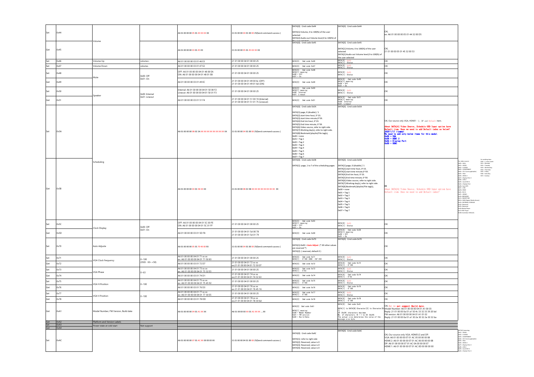| Set        | 0x44         | 'olume                                                  |                                 | A6 01 00 00 00 05 01 44 XX XX XX                                                                      | 21 01 00 00 04 01 00 00 25 Send command success 1                             | DATA[0]: Cmd code 0x44<br>DATA[1]:Volume, 0 to 100(%) of the user<br>ielected<br>DATA[2]:Audio out Volume level,0 to 100(%) of<br>DATA[0]: Cmd code 0x45                                                                                                                                                                                                                                                                                                                | DATA[0]: Cmd code 0x44<br>DATA[0]: Cmd code 0x45                                                                                                                                                                                                                                                                                                                                                                                                                                       | ex: A6 01 00 00 00 05 01 44 32 00 D5                                                                                                                                                                                                                                                               |                                                                                                                                                                                              |
|------------|--------------|---------------------------------------------------------|---------------------------------|-------------------------------------------------------------------------------------------------------|-------------------------------------------------------------------------------|-------------------------------------------------------------------------------------------------------------------------------------------------------------------------------------------------------------------------------------------------------------------------------------------------------------------------------------------------------------------------------------------------------------------------------------------------------------------------|----------------------------------------------------------------------------------------------------------------------------------------------------------------------------------------------------------------------------------------------------------------------------------------------------------------------------------------------------------------------------------------------------------------------------------------------------------------------------------------|----------------------------------------------------------------------------------------------------------------------------------------------------------------------------------------------------------------------------------------------------------------------------------------------------|----------------------------------------------------------------------------------------------------------------------------------------------------------------------------------------------|
| Get        | 0x45         |                                                         |                                 | 6 01 00 00 00 <mark>03 01 45</mark> E0                                                                | 1 01 00 00 05 01 45 XX XX XX                                                  |                                                                                                                                                                                                                                                                                                                                                                                                                                                                         | DATA[1]:Volume, 0 to 100(%) of the user<br>selected<br>DATA[2]:Audio out Volume level,0 to 100(%) of<br>the user selected                                                                                                                                                                                                                                                                                                                                                              | 21 01 00 00 05 01 45 32 00 53                                                                                                                                                                                                                                                                      |                                                                                                                                                                                              |
| Set        | 0x46         | Volume Up                                               | volume+                         | A6.01.00.00.00.03.01.46.E3.                                                                           | 21 01 00 00 04 01 00 00 25                                                    | DATA [0]: Cmd code 0x46                                                                                                                                                                                                                                                                                                                                                                                                                                                 | DATA[0]:<br>DATA(1): State                                                                                                                                                                                                                                                                                                                                                                                                                                                             | OK                                                                                                                                                                                                                                                                                                 |                                                                                                                                                                                              |
| Set<br>Set | 0x47<br>0x48 | Volume Down                                             | volume-                         | A6 01 00 00 00 03 01 47 E2<br>OFF: A6 01 00 00 00 04 01 48 00 EA<br>ON: A6 01 00 00 00 04 01 48 01 EB | 21 01 00 00 04 01 00 00 25<br>10100000401000025                               | DATA[0]: Ond code 0x47<br>DATA[0]: Cmd code 0x48<br>DATA[1] meaning:<br>0x00 = 0ff                                                                                                                                                                                                                                                                                                                                                                                      | <b>DATA[0]:</b> 0x00<br>DATA[1]: Statu<br>DATA[0]: 0x0<br>DATA[1]: Status                                                                                                                                                                                                                                                                                                                                                                                                              | OK<br>OK                                                                                                                                                                                                                                                                                           |                                                                                                                                                                                              |
| Get        | 0x49         | Aute                                                    | $x00:$ Off<br>0x01:On           | A6 01 00 00 00 03 01 49 EC                                                                            | 21 01 00 00 04 01 49 00 6c (OFF)                                              | $0x01 = 0n$<br>DATA[0]: Cmd code 0x49                                                                                                                                                                                                                                                                                                                                                                                                                                   | $DATA[0]:$ Cmd code 0x49<br>DATA[1] meaning:<br>0x00 = Off<br>0x01 = On                                                                                                                                                                                                                                                                                                                                                                                                                | OK                                                                                                                                                                                                                                                                                                 |                                                                                                                                                                                              |
| Set        | 0x50         |                                                         |                                 | ternal: A6 01 00 00 00 04 01 50 00 F2<br>neout: A6 01 00 00 00 04 01 50 01 F3                         | 21 01 00 00 04 01 49 01 6d (ON)<br>21 01 00 00 04 01 00 00 25                 | DATA[0]: Cmd code 0x50<br>DATA[1] meaning:<br>0x00: Internal<br>0x01: Lineout                                                                                                                                                                                                                                                                                                                                                                                           | DATA[0]: 0x00<br>DATA[1]: Status                                                                                                                                                                                                                                                                                                                                                                                                                                                       | OK                                                                                                                                                                                                                                                                                                 |                                                                                                                                                                                              |
| Get        | 0x51         | Speaker                                                 | 0x00: Internal<br>0x01: Lineout | A6 01 00 00 00 03 01 51 F4                                                                            | 21 01 00 00 04 01 51 00 74 (Internal)<br>21 01 00 00 04 01 51 01 75 (Lineout) | $DATA[0]$ : Ond code $0x51$                                                                                                                                                                                                                                                                                                                                                                                                                                             | DATA[0]: Cmd code Ox51<br>DATA[1] meaning:<br>Ox00: Internal<br>Ox01: Lineout                                                                                                                                                                                                                                                                                                                                                                                                          | ΩK                                                                                                                                                                                                                                                                                                 |                                                                                                                                                                                              |
|            |              |                                                         |                                 |                                                                                                       |                                                                               | DATA[0]: Cmd code 0x5A                                                                                                                                                                                                                                                                                                                                                                                                                                                  | DATA(0): Cmd code 0x5A                                                                                                                                                                                                                                                                                                                                                                                                                                                                 |                                                                                                                                                                                                                                                                                                    |                                                                                                                                                                                              |
| Set        | 0x5A         |                                                         |                                 | A 6 01 00 00 00 <mark>0B 01 5A XX XX XX XX XX XX XX XX XX</mark> XX                                   | 21 01 00 00 04 01 00 00 25 Send command success )                             | DATA[1]:page, 0 (disable) / 1<br>DATA[2]:start time hout, 0~23.<br>DATA[3]:start time minute,0~59.<br>DATA[4]:End tim hout, 0~23.<br>DATA[5]:End time minute, 0~59.<br>DATA[6]:Video source, refer to right side.<br>DATA[7]: Working day(s), refer to right side.<br>DATA[8]:Bookmark/playlist/File tag(s),<br>$0x00 = none$<br>$0 \times 01 =$ Tag 1<br>$0x02 = Tag 2$<br>$0 \times 03 =$ Tag 3<br>$0x04 = Tag 4$<br>$0x05 = Tag 5$<br>$0x06 = Tag 6$<br>$0x07 = TaZ$ |                                                                                                                                                                                                                                                                                                                                                                                                                                                                                        | OK; Our source only VGA, HDMI1 · 2, DP and Default item.<br>About DKTA(5) Video Source, Schedule CSD Input option have a benefit in the new seed to add Default index as below?<br>The seed to add only below these for this model.<br>The seed to add only below them for this model.<br>CoOS = W |                                                                                                                                                                                              |
| Get        | 0x5B         | Scheduling                                              |                                 | A6 01 00 00 00 04 01 58 XX XX                                                                         | 21 01 00 00 08 01 58 XX XX XX XX XX XX XX XX XX XX                            | DATA[0]: Cmd code 0x5B<br>DATA[1]: page, 1 to 7 of the scheduling pages                                                                                                                                                                                                                                                                                                                                                                                                 | DATA[0]: Cmd code 0x5B<br>DATA[1]:page, 0 (disable) / 1<br>DATA[2]:start time hout, 0~23.<br>DATA[3]:start time minute,0~59.<br>DATA[4]:End tim hout, 0~23.<br>DATA[5]: End time minute, 0~59.<br>DATA[6]: Video source, refer to right side.<br>DATA[7]: Working day(s), refer to right side.<br>DATA[8]:Bookmark/playlist/File tag(s),<br>$0x00 = none$<br>$0x01 = Tag 1$<br>$0x02 = Tag 2$<br>$0x03 = Tag 3$<br>$0x04 = Tag 4$<br>$0x05 = Tag 5$<br>$0x06 = Ta@6$<br>$0x07 = Tag 7$ | bout DATA[6] Video Source, Schedule OSD Input option have<br>befault item. Does we need to add Default index?                                                                                                                                                                                      | for working days<br>Bit0 = 1: every w<br>Bit1 = Moralay<br>Bit2 = Tuesday<br>Bit1 = Thursday<br>Bit5 = Friday<br>Bit5 = Saturday<br>Bit5 = Saturday                                          |
| Set        | 0x5C         | Clock Display                                           | 0x00: Off                       | OFF: A6.01.00.00.00.04.01.5C.00.FF<br>DN: A6 01 00 00 00 04 01 5C 01 FF                               | 21 01 00 00 04 01 00 00 25                                                    | DATA[0]: Cmd code 0x5C<br>DATA[1] meaning:<br>0x00 = 0ff                                                                                                                                                                                                                                                                                                                                                                                                                | DATA[O]: 0x00<br>DATA[1]: Status                                                                                                                                                                                                                                                                                                                                                                                                                                                       |                                                                                                                                                                                                                                                                                                    |                                                                                                                                                                                              |
|            | 0x5D         |                                                         | 0x01:On                         | 46 01 00 00 00 03 01 5D F8                                                                            | 21 01 00 00 04 01 5d 00 78<br>21 01 00 00 04 01 5d 01 79                      | DATA[0]: Ond code 0x5D                                                                                                                                                                                                                                                                                                                                                                                                                                                  | DATA[0]: Cmd code 0x5D<br>DATA[1] meaning:<br>0x00 = 0ff<br>0x01 = 0n                                                                                                                                                                                                                                                                                                                                                                                                                  | OK                                                                                                                                                                                                                                                                                                 |                                                                                                                                                                                              |
| Set        | 0x70         | Auto Adjuste                                            |                                 | A6 01 00 00 00 05 01 70 40 00 93                                                                      | 21 01 00 00 04 01 00 00 25(Send command success)                              | DATA[0]: Cmd code 0x70<br>DATA[1]:0x40 = Auto Adjust (* All other values<br>are reserved *)<br>DATA[2]: ( reserved, default 0 )                                                                                                                                                                                                                                                                                                                                         | DATA[0]: Cmd code 0x70                                                                                                                                                                                                                                                                                                                                                                                                                                                                 | OK                                                                                                                                                                                                                                                                                                 |                                                                                                                                                                                              |
| Set        | 0x71         | /GA Clock frequency                                     | $-100$                          | A6 01 00 00 00 04 01 71 xx xx<br>ex: A6 01 00 00 00 04 01 71 50 83                                    | 21 01 00 00 04 01 00 00 25                                                    | DATA[0]: Cmd code 0x71<br>DATA[1]: 0"100 (0SD: -50"+50)                                                                                                                                                                                                                                                                                                                                                                                                                 | DATA[0]: 0x00<br>DATA[1]: Status                                                                                                                                                                                                                                                                                                                                                                                                                                                       | оĸ                                                                                                                                                                                                                                                                                                 |                                                                                                                                                                                              |
| Get        | 0x72         |                                                         | $(OSD: -50 - +50)$              | A6 01 00 00 00 03 01 72 D7                                                                            | 21 01 00 00 04 01 72 xx xx<br>ex:21 01 00 00 04 01 72 50 07                   | DATA[0]: Ond code 0x72                                                                                                                                                                                                                                                                                                                                                                                                                                                  | DATA[0]: Cmd code 0x72<br>DATA[1]: 0"100                                                                                                                                                                                                                                                                                                                                                                                                                                               | ОK                                                                                                                                                                                                                                                                                                 |                                                                                                                                                                                              |
| Set        | 0x73         |                                                         |                                 | A6 01 00 00 00 04 01 73 xx xx<br>ex: A6 01 00 00 00 04 01 73 32 E3                                    | 21 01 00 00 04 01 00 00 25                                                    | DATA[0]: Cmd code 0x73<br>DATA[1]: 0"63                                                                                                                                                                                                                                                                                                                                                                                                                                 | DATA[0]: 0x0<br>DATA[1]: Status                                                                                                                                                                                                                                                                                                                                                                                                                                                        | OK                                                                                                                                                                                                                                                                                                 |                                                                                                                                                                                              |
| Get        | 0x74         | VGA Phase                                               | $-63$                           | A6 01 00 00 00 03 01 74 D1                                                                            | 21.01.00.00.04.01.74 xx xx                                                    | DATA[0]: Ond code 0x74                                                                                                                                                                                                                                                                                                                                                                                                                                                  | DATA[0]: Cmd code 0x74<br>DATA[1]: 0"63                                                                                                                                                                                                                                                                                                                                                                                                                                                | OK                                                                                                                                                                                                                                                                                                 |                                                                                                                                                                                              |
| Set        | 0x75         |                                                         |                                 | 46 01 00 00 00 04 01 75 xx xx                                                                         | ex:21 01 00 00 04 01 74 32 63<br>21 01 00 00 04 01 00 00 25                   | DATA[0]: Cmd code 0x75<br>DATA[1]: 0"100                                                                                                                                                                                                                                                                                                                                                                                                                                | DATA[0]:                                                                                                                                                                                                                                                                                                                                                                                                                                                                               | OK                                                                                                                                                                                                                                                                                                 |                                                                                                                                                                                              |
|            |              | VGA H.Position                                          | $-100$                          | ex: A6 01 00 00 00 04 01 75 45 92                                                                     | 21 01 00 00 04 01 76 xx xx                                                    |                                                                                                                                                                                                                                                                                                                                                                                                                                                                         | DATA[1]: Status                                                                                                                                                                                                                                                                                                                                                                                                                                                                        |                                                                                                                                                                                                                                                                                                    |                                                                                                                                                                                              |
| Get        | 0x76         |                                                         |                                 | A6 01 00 00 00 03 01 76 D3                                                                            | ex 21 01 00 00 04 01 76 45 16                                                 | DATA[0]: Cmd code 0x76                                                                                                                                                                                                                                                                                                                                                                                                                                                  | DATA[0]: Cmd code 0x76<br>DATA[1]: 0~100                                                                                                                                                                                                                                                                                                                                                                                                                                               | оĸ                                                                                                                                                                                                                                                                                                 |                                                                                                                                                                                              |
| Set        | 0x77         | VGA V.Position                                          | $0 - 100$                       | A6 01 00 00 00 04 01 77 xx xx<br>ex: A6 01 00 00 00 04 01 77 30 E5                                    | 21 01 00 00 04 01 00 00 25                                                    | DATA[0]: Cmd code 0x77<br>DATA[1]: 0"100                                                                                                                                                                                                                                                                                                                                                                                                                                | $DATA[0]$ :<br>DATA[1]: Status                                                                                                                                                                                                                                                                                                                                                                                                                                                         | OK                                                                                                                                                                                                                                                                                                 |                                                                                                                                                                                              |
| Get        | 0x78         |                                                         |                                 | A6 01 00 00 00 03 01 78 DD                                                                            | 21 01 00 00 04 01 78 xx xx<br>x:21 01 00 00 04 01 78 30 6d                    | DATA[0]: Ond code 0x78                                                                                                                                                                                                                                                                                                                                                                                                                                                  | DATA[0]: Cmd code 0x78<br>DATA[1]: 0~100                                                                                                                                                                                                                                                                                                                                                                                                                                               | OK                                                                                                                                                                                                                                                                                                 |                                                                                                                                                                                              |
| Get        | 0xA1         | Model Number, FW Version, Build date                    |                                 | A6 01 00 00 00 04 01 A1 XX XX                                                                         | A6 01 00 00 00 XX 01 A1 XX XX XX                                              | DATA[0]: Cmd code OxA1<br>DATA[1] meaning:<br>OxOO = Model Number<br>OxO1 = FW version<br>OxO2 = Build Date                                                                                                                                                                                                                                                                                                                                                             | DATA[0]: Cmd code OxA1<br>13<br>36 (0x24) characters maximum.<br>No. of characters, N = 1 to 36 (0x24).<br>The actual size determines the value of the<br>the actual size determines the value of the<br>ssage size byte                                                                                                                                                                                                                                                               | OK; But we not support Build date.<br>DATA[1] to DATA[N]: Character [0] to Character [N Model Number: A6 01 00 00 00 04 01 A1 00 03<br>Reply: 21 01 00 00 0a 01 a1 50 4c 33 32 33 39 20 bd<br>FW version: A6 01 00 00 00 04 01 A1 01 02<br>Reply: 21 01 00 00 0a 01 a1 30 2e 30 32 2e 30 32 ba     |                                                                                                                                                                                              |
| Set        | 0xA2<br>0xA3 | Platform and Version Labels<br>ower state at cold start |                                 |                                                                                                       |                                                                               |                                                                                                                                                                                                                                                                                                                                                                                                                                                                         |                                                                                                                                                                                                                                                                                                                                                                                                                                                                                        |                                                                                                                                                                                                                                                                                                    |                                                                                                                                                                                              |
| Set        | 0xAC         |                                                         | Not support                     | A6 01 00 00 00 07 01 AC XX 00 00 00 XX                                                                | 21 01 00 00 04 01 00 00 25(Send command success)                              | DATA[0]: Cmd code 0xAC<br>DATA[1]: refer to right side<br>DATA[2]: Reserved, value is 0<br>DATA[3]: Reserved, value is 0<br>DATA[4]: Reserved, value is 0                                                                                                                                                                                                                                                                                                               | DATA[0]: Cmd code 0xAC                                                                                                                                                                                                                                                                                                                                                                                                                                                                 | OK; Our source only VGA, HDMI1/2 and DP.<br>VGA: A6 01 00 00 00 07 01 AC 05 00 00 00 08<br>HDMI 2: A6 01 00 00 00 07 01 AC 06 00 00 00 08<br>DP: A6 01 00 00 00 07 01 AC 0A 00 00 00 07<br>HDMI 1: A6 01 00 00 00 07 01 AC 0D 00 00 00 00                                                          | $101 - 1000$<br>0x01 = VIDEO<br>0x02 = SVIDEO<br>0x03 = COMPONENT<br>0x05 = VGA<br>0x05 = VGA<br>0x05 = Hotel 2<br>0x07 = Display Port 2<br>0x06 = USB 2<br>0x06 = USB 2<br>0x09 = Card DV-D |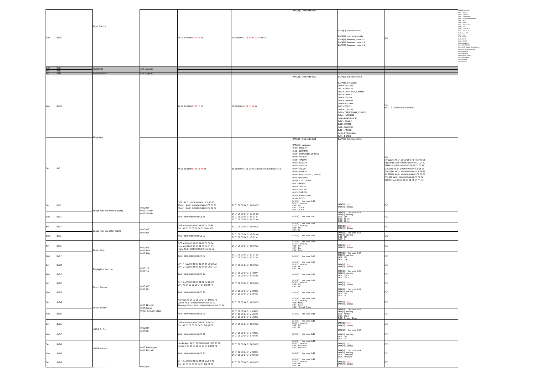|                                  |                   |                            |                             |                                                                                                                               |                                                                                        | DATA[0]: Cmd code 0xAD                                                                                                                                                                                                                                                                                                                                                                                                             |                                                                                                                                                                                                                                                                                                                                                                                                                              |                                                                                                                                                                                                                                                                                                                                         | DATA[1] meaning<br>0x01 = VIDEO<br>0x02 = 5-VIDEO                                                                                                                                                                                                                                                                                                                                                                                                                                           |
|----------------------------------|-------------------|----------------------------|-----------------------------|-------------------------------------------------------------------------------------------------------------------------------|----------------------------------------------------------------------------------------|------------------------------------------------------------------------------------------------------------------------------------------------------------------------------------------------------------------------------------------------------------------------------------------------------------------------------------------------------------------------------------------------------------------------------------|------------------------------------------------------------------------------------------------------------------------------------------------------------------------------------------------------------------------------------------------------------------------------------------------------------------------------------------------------------------------------------------------------------------------------|-----------------------------------------------------------------------------------------------------------------------------------------------------------------------------------------------------------------------------------------------------------------------------------------------------------------------------------------|---------------------------------------------------------------------------------------------------------------------------------------------------------------------------------------------------------------------------------------------------------------------------------------------------------------------------------------------------------------------------------------------------------------------------------------------------------------------------------------------|
| Get                              | 0xAD              | <b>Input Source</b>        |                             | A6 01 00 00 00 03 01 AD 08                                                                                                    | 21 01 00 00 07 01 AD XX 00 01 00 XX                                                    |                                                                                                                                                                                                                                                                                                                                                                                                                                    | DATA[0]: Cmd code 0xAC<br>DATA[1]: refer to right side<br>DATA[2]: Reserved, value is 0<br>DATA[3]: Reserved, value is 1<br>DATA[4]: Reserved, value is 0                                                                                                                                                                                                                                                                    | OK                                                                                                                                                                                                                                                                                                                                      | 0602 - J-FRANC<br>0603 - COMPONENT<br>0604 - CVI 2 (not applicable)<br>0605 - HDMI 2<br>0006 = FDMII 2<br>0n05 = Display Port 2<br>0n06 = USB 2<br>0n09 = Card DVI-D<br>0n08 = Display Port 1<br>0n08 = Card OPS<br>0x0C = USB 1<br>0x0D= HDMI<br>CHOCH DOWN<br>CHOE - HOMES<br>CHOCH - HOMES<br>CHOCH - SMARTCARS<br>0X12= DMS (Digital Media Serve<br>0x13= INTERNAL STORAGE<br>Cx14= Reserved<br>Cx15= Reserved<br>Cx15= Media Player<br>Cx17= PDF Player<br>Ox18+ Custom<br>Ox19+HDMI 4 |
| Get 0xB1<br>Set 0xB2<br>Set 0xB8 |                   | Pixel Shift                | Not support                 |                                                                                                                               |                                                                                        |                                                                                                                                                                                                                                                                                                                                                                                                                                    |                                                                                                                                                                                                                                                                                                                                                                                                                              |                                                                                                                                                                                                                                                                                                                                         |                                                                                                                                                                                                                                                                                                                                                                                                                                                                                             |
| Get                              | 0xC0              | <b>Volume Limits</b>       | Not support                 | A6 01 00 00 00 03 01 C0 65                                                                                                    | 21 01 00 00 04 01 CO XX XX                                                             | DATA[0]: Cmd code 0xC0                                                                                                                                                                                                                                                                                                                                                                                                             | DATA[0]: Cmd code 0xC0<br>DATA[1]: Language<br>0x00 = ENGLISH<br>$0x01 = GERMAN$<br>0x02 = SIMPLIFIED_CHINESE<br>$0x03 = FRENCH$<br>$0x04 = ITALIAN$<br>$0x05 = SPANISH$<br>$0x06 = RUSSIAN$<br>$0x07 = POLSK1$<br>$0x08 = TURKISH$<br>0x09 = TRADITIONAL_CHINESE<br>$0x0A = JAPANESE$<br>0x0B= PORTUGUESE<br>$0x0C = ARABIC$<br>0x0D= DANISH<br><b>OxOE= SWEDISH</b><br>OxOF = FINNISH<br>0x10= NORWEGIAN<br>$0x11 = DUTCH$ | ex: 21 01 00 00 04 01 c0 00 e5                                                                                                                                                                                                                                                                                                          |                                                                                                                                                                                                                                                                                                                                                                                                                                                                                             |
| Set                              | 0xC1              | Language                   |                             | A6 01 00 00 00 04 01 C1 XX XX                                                                                                 | 21 01 00 00 04 01 00 00 25(Send command success)                                       | DATA[0]: Cmd code 0xC1<br>DATA[1]: Language:<br>$0x00 = ENGLISH$<br>$0x01 = GERMAN$<br>0x02 = SIMPLIFIED_CHINESE<br>$0x03 = FRENCH$<br>$0 \times 04 = 17$ ALIAN<br>$0x05 = SPANISH$<br>$0x06 = RUSSIAN$<br>$0x07 = POLSKI$<br>$0x08 = TURKISH$<br>0x09 = TRADITIONAL CHINESE<br>$0x0A = JAPANESE$<br>0x0B= PORTUGUESE<br>$0x0C = ARABIC$<br>0x0D= DANISH<br>OxOE= SWEDISH<br>$0x0F = FINNISH$<br>0x10= NORWEGIAN<br>$0x11 = DUTCH$ | DATA[0]: Cmd code 0xC1                                                                                                                                                                                                                                                                                                                                                                                                       | ENGLISH: A6 01 00 00 00 04 01 C1 00 63<br>GERMAN: A6 01 00 00 00 04 01 C1 01 62<br>FRENCH: A6 01 00 00 00 04 01 C1 03 60<br>ITALIAN: A6 01 00 00 00 04 01 C1 04 67<br>SPANISH: A6 01 00 00 00 04 01 C1 05 66<br>RUSSIAN: A6 01 00 00 00 04 01 C1 06 65<br>POLSKI: A6 01 00 00 00 04 01 C1 07 64<br>DUTCH: A6 01 00 00 00 04 01 C1 11 72 |                                                                                                                                                                                                                                                                                                                                                                                                                                                                                             |
| Set                              | 0xC2              | mage Retention(White Wash) | 0x00: Off<br>0x01: 15 min   | OFF: A6 01 00 00 00 04 01 C2 00 60<br>15min: A6 01 00 00 00 04 01 C2 01 61<br>30min: A6 01 00 00 00 04 01 C2 02 62            | 21 01 00 00 04 01 00 00 25                                                             | DATA[0]: Cmd code 0xC2<br>DATA[1] meaning:<br>0x00: Off<br>0x01: 15 min<br>0x02: 30 min                                                                                                                                                                                                                                                                                                                                            | DATA[0]: 0x00<br>DATA[1]: Status                                                                                                                                                                                                                                                                                                                                                                                             | OK                                                                                                                                                                                                                                                                                                                                      |                                                                                                                                                                                                                                                                                                                                                                                                                                                                                             |
| Get                              | 0xC3              |                            | 0x02: 30 min                | A6 01 00 00 00 03 01 C3 66                                                                                                    | 21 01 00 00 04 01 c3 00 e6<br>21 01 00 00 04 01 c3 01 e7<br>21 01 00 00 04 01 c3 02 e4 | DATA[0]: Cmd code 0xC3                                                                                                                                                                                                                                                                                                                                                                                                             | DATA[0]: Cmd code 0xC3<br>DATA[1] meaning:<br>0x00: Off<br>0x01: 15 min<br>0x02: 30 min                                                                                                                                                                                                                                                                                                                                      | OK                                                                                                                                                                                                                                                                                                                                      |                                                                                                                                                                                                                                                                                                                                                                                                                                                                                             |
| Set                              | 0xC4              | mage Retention(Dot Wash)   | $0x00$ : Off                | OFF: A6 01 00 00 00 04 01 C4 00 66<br>ON: A6 01 00 00 00 04 01 C4 01 67                                                       | 21 01 00 00 04 01 00 00 25                                                             | DATA[O]: Cmd code OxC4<br>DATA[1] meaning:<br>OxOO: Off<br>OxO1: On                                                                                                                                                                                                                                                                                                                                                                | DATA[0]: 0x00<br>DATA[1]: Status                                                                                                                                                                                                                                                                                                                                                                                             | OK                                                                                                                                                                                                                                                                                                                                      |                                                                                                                                                                                                                                                                                                                                                                                                                                                                                             |
| Get                              | 0xC5              |                            | 0x01: On                    | A6 01 00 00 00 03 01 C5 60                                                                                                    | 21 01 00 00 04 01 c5 00 e0<br>21 01 00 00 04 01 c5 01 e1                               | DATA[0]: Ond code 0xC5                                                                                                                                                                                                                                                                                                                                                                                                             | DATA[0]: Cmd code OxC5<br>DATA[1] meaning:<br>OxOO: Off<br>0x01:0n                                                                                                                                                                                                                                                                                                                                                           | OK                                                                                                                                                                                                                                                                                                                                      |                                                                                                                                                                                                                                                                                                                                                                                                                                                                                             |
| Set                              | 0xC6              | Power Save                 | 0x00: Off<br>0x01: Low      | OFF: A6 01 00 00 00 04 01 C6 00 64<br>Low: A6 01 00 00 00 04 01 C6 01 65<br>High: A6 01 00 00 00 04 01 C6 02 66               | 21 01 00 00 04 01 00 00 25                                                             | DATA[0]: Cmd code 0xC6<br>DATA[1] meaning:<br>0xO0: Off<br>0xO1: Low<br>$x02$ : High                                                                                                                                                                                                                                                                                                                                               | DATA[0]: 0x00<br>DATA[1]: Status                                                                                                                                                                                                                                                                                                                                                                                             | OK                                                                                                                                                                                                                                                                                                                                      |                                                                                                                                                                                                                                                                                                                                                                                                                                                                                             |
| Get                              | 0xC7              |                            | 0x02: High                  | A6 01 00 00 00 03 01 C7 62                                                                                                    | 21 01 00 00 04 01 c7 01 e3<br>21 01 00 00 04 01 c7 01 e3                               | DATA[0]: Cmd code 0xC7                                                                                                                                                                                                                                                                                                                                                                                                             | DATA[O]: Cmd code OxC7<br>DATA[1] meaning:<br>OxOO: Off<br>OxO1: Low                                                                                                                                                                                                                                                                                                                                                         | OK                                                                                                                                                                                                                                                                                                                                      |                                                                                                                                                                                                                                                                                                                                                                                                                                                                                             |
| Set                              | 0xD0              |                            | 0x00: 1.1                   | DP 1.1: A6 01 00 00 00 04 01 D0 00 72<br>DP 1.2: A6 01 00 00 00 04 01 D0 01 73                                                | 21 01 00 00 04 01 00 00 25                                                             | DATA[0]: Cmd code 0xD0<br>DATA[1] meaning:<br>0x00: DP1.1<br>0x01:DP1.2                                                                                                                                                                                                                                                                                                                                                            | DATA[0]: 0x00<br>DATA[1]: Status                                                                                                                                                                                                                                                                                                                                                                                             | ОK                                                                                                                                                                                                                                                                                                                                      |                                                                                                                                                                                                                                                                                                                                                                                                                                                                                             |
| Get                              | 0xD1              | DisplayPort Version        | 0x01: 1.2                   | A6 01 00 00 00 03 01 D1 74                                                                                                    | 21 01 00 00 04 01 d1 00 f4<br>21 01 00 00 04 01 d1 01 f5                               | DATA[0]: Ond code 0xD1                                                                                                                                                                                                                                                                                                                                                                                                             | DATA[0]: Cmd code 0xD1<br>DATA[1] meaning:<br>0x00: DP1.1<br>0x01: DP1.2                                                                                                                                                                                                                                                                                                                                                     | OK                                                                                                                                                                                                                                                                                                                                      |                                                                                                                                                                                                                                                                                                                                                                                                                                                                                             |
| Set                              | 0xD2              | Touch Feature              | 0x00: Off                   | OFF: A6 01 00 00 00 04 01 D2 00 70<br>ON: A6 01 00 00 00 04 01 D2 01 71                                                       | 21 01 00 00 04 01 00 00 25                                                             | DATA[O]: Cmd code 0xD2<br>DATA[1] meaning:<br>0x00: Off<br>0x01: On                                                                                                                                                                                                                                                                                                                                                                | DATA[0]: 0x00<br>DATA[1]: Status                                                                                                                                                                                                                                                                                                                                                                                             | OK                                                                                                                                                                                                                                                                                                                                      |                                                                                                                                                                                                                                                                                                                                                                                                                                                                                             |
|                                  | n <sub>v</sub> na |                            | 0x01: On                    | A6 01 00 00 00 03 01 D3 76                                                                                                    | 21 01 00 00 04 01 d3 00 f6<br>21 01 00 00 04 01 d3 01 f7                               | DATA(0): Ond code 0x03                                                                                                                                                                                                                                                                                                                                                                                                             | DATA[0]: Cmd code 0xD3<br>DATA[1] meaning:<br>0x00: 0ff<br>0x01: 0n                                                                                                                                                                                                                                                                                                                                                          |                                                                                                                                                                                                                                                                                                                                         |                                                                                                                                                                                                                                                                                                                                                                                                                                                                                             |
| Set                              | 0xD4              | <b>Fouch Switch</b>        | 0x00: Normal<br>0x01: Glove | Normal: A6 01 00 00 00 04 01 D4 00 76<br>Glove: A6 01 00 00 00 04 01 D4 01 77<br>Through-Glass: A6 01 00 00 00 04 01 D4 02 74 | 21 01 00 00 04 01 00 00 25                                                             | DATA[O]: Cmd code OxD4<br>DATA[1] meaning:<br>OxOO: Normal<br>OxO1: Glove<br>OxO2: Through-Glass                                                                                                                                                                                                                                                                                                                                   | DATA[0]: 0x00<br>DATA[1]: Status                                                                                                                                                                                                                                                                                                                                                                                             | OK                                                                                                                                                                                                                                                                                                                                      |                                                                                                                                                                                                                                                                                                                                                                                                                                                                                             |
| Get                              | 0xD5              |                            | 0x02: Through-Glass         | A6 01 00 00 00 03 01 D5 70                                                                                                    | 21 01 00 00 04 01 d5 00 f0<br>21 01 00 00 04 01 d5 01 f1<br>21 01 00 00 04 01 d5 02 f2 | DATA[0]: Ond code 0x05                                                                                                                                                                                                                                                                                                                                                                                                             | DATA[0]: Cmd code 0xD5<br>DATA[1] meaning:<br>0x00: Normal<br>0x01: Glove<br>0x02: Through-Glas                                                                                                                                                                                                                                                                                                                              | OK                                                                                                                                                                                                                                                                                                                                      |                                                                                                                                                                                                                                                                                                                                                                                                                                                                                             |
| Set                              | 0xD6              |                            | 0x00: Off                   | OFF: A6 01 00 00 00 04 01 D6 00 74<br>ON: A6 01 00 00 00 04 01 D6 01 75                                                       | 21 01 00 00 04 01 00 00 25                                                             | DATA[0]: Cmd code 0xD6<br>DATA[1] meaning:<br>0x00: Off<br>0x01:0n                                                                                                                                                                                                                                                                                                                                                                 | DATA[0]: 0x00<br>DATA[1]: Status                                                                                                                                                                                                                                                                                                                                                                                             | OK                                                                                                                                                                                                                                                                                                                                      |                                                                                                                                                                                                                                                                                                                                                                                                                                                                                             |
| Get                              | 0xD7              | OSD Info Box               | 0x01:On                     | A6 01 00 00 00 03 01 D7 72                                                                                                    | 21 01 00 00 04 01 d7 00 f2<br>21 01 00 00 04 01 d7 01 f3                               | DATA[0]: Ond code 0x07                                                                                                                                                                                                                                                                                                                                                                                                             | DATA[0]: Cmd code 0xD7<br>DATA[1] meaning:<br>OxOO: Off<br>OxO1: On                                                                                                                                                                                                                                                                                                                                                          | OK                                                                                                                                                                                                                                                                                                                                      |                                                                                                                                                                                                                                                                                                                                                                                                                                                                                             |
| Set                              | 0xD8              | OSD Rotation               | 0x00: Landscape             | Landscape: A6 01 00 00 00 04 01 D8 00 7A<br>Portrait: A6 01 00 00 00 04 01 D8 01 7B                                           | 21 01 00 00 04 01 00 00 25                                                             | DATA[O]: Cmd code OxD8<br>DATA[1] meaning:<br>OxOO: Landscape<br>OxOI: Portrait                                                                                                                                                                                                                                                                                                                                                    | DATA[0]: 0x00<br>DATA[1]: Status                                                                                                                                                                                                                                                                                                                                                                                             | OK                                                                                                                                                                                                                                                                                                                                      |                                                                                                                                                                                                                                                                                                                                                                                                                                                                                             |
| Get                              | 0xD9              |                            | 0x01: Portrait              | A6 01 00 00 00 03 01 D9 7C                                                                                                    | 21 01 00 00 04 01 d9 00 fc<br>21 01 00 00 04 01 d9 01 fd                               | DATA[0]: Ond code 0xD9                                                                                                                                                                                                                                                                                                                                                                                                             | DATA[0]: Cmd code OxD9<br>DATA[1] meaning:<br>OxOO: Landscape<br>OxO1: Portrait                                                                                                                                                                                                                                                                                                                                              | OK                                                                                                                                                                                                                                                                                                                                      |                                                                                                                                                                                                                                                                                                                                                                                                                                                                                             |
| Set                              | 0xDA              |                            | 0x00: Off                   | OFF: A6 01 00 00 00 04 01 DA 00 78<br>ON: A6 01 00 00 00 04 01 DA 01 79                                                       | 21 01 00 00 04 01 00 00 25                                                             | DATA[O]: Cmd code OxDA<br>DATA[1] meaning:<br>OxOO: Off<br>OxO1: On                                                                                                                                                                                                                                                                                                                                                                | DATA[0]: 0x00<br>DATA[1]: Status                                                                                                                                                                                                                                                                                                                                                                                             | OK                                                                                                                                                                                                                                                                                                                                      |                                                                                                                                                                                                                                                                                                                                                                                                                                                                                             |
|                                  |                   |                            |                             |                                                                                                                               |                                                                                        |                                                                                                                                                                                                                                                                                                                                                                                                                                    |                                                                                                                                                                                                                                                                                                                                                                                                                              |                                                                                                                                                                                                                                                                                                                                         |                                                                                                                                                                                                                                                                                                                                                                                                                                                                                             |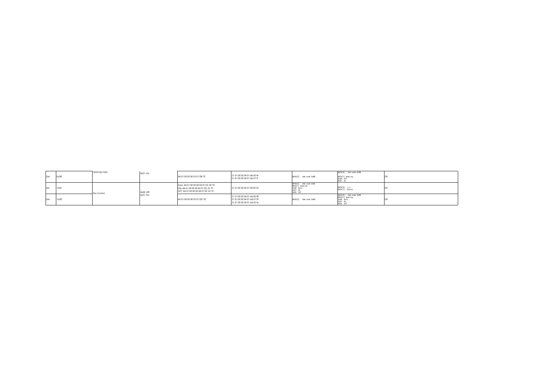| Get | 0xDB | Opening Logo | process and service<br>0x01: On | A6 01 00 00 00 03 01 DB 7E                                                                                     | 21 01 00 00 04 01 db 00 fe<br>21 01 00 00 04 01 db 01 ff                               | DATA[0]: Cmd code 0xDB                                                         | DATA[0]: Cmd code 0xDB<br>DATA[1] meaning:<br>0x00: 0ff               |  |
|-----|------|--------------|---------------------------------|----------------------------------------------------------------------------------------------------------------|----------------------------------------------------------------------------------------|--------------------------------------------------------------------------------|-----------------------------------------------------------------------|--|
| Set | 1xDC | Fan Control  | 0x00: Off                       | Auto: A6 01 00 00 00 04 01 DC 00 7E<br>ON: A6 01 00 00 00 04 01 DC 01 7F<br>OFF: A6 01 00 00 00 04 01 DC 02 7C | 21 01 00 00 04 01 00 00 25                                                             | DATA[0]: Cmd code 0xDC<br>DATA[1] meaning:<br>OxOO: Auto<br>0x01:0n<br>0x02:0f | DATA[0]: 0x00<br>DATA[1]: Status                                      |  |
| Get | 1xDD |              | 0x01:On                         | A6 01 00 00 00 03 01 DD 78                                                                                     | 21 01 00 00 04 01 dd 00 f8<br>21 01 00 00 04 01 dd 01 f9<br>21 01 00 00 04 01 dd 02 fa | DATA[0]: Ond code 0xDD                                                         | DATA[0]: Cmd code OxDD<br>DATA[1] meaning:<br>OxOO: Auto<br>0x02: 0ff |  |